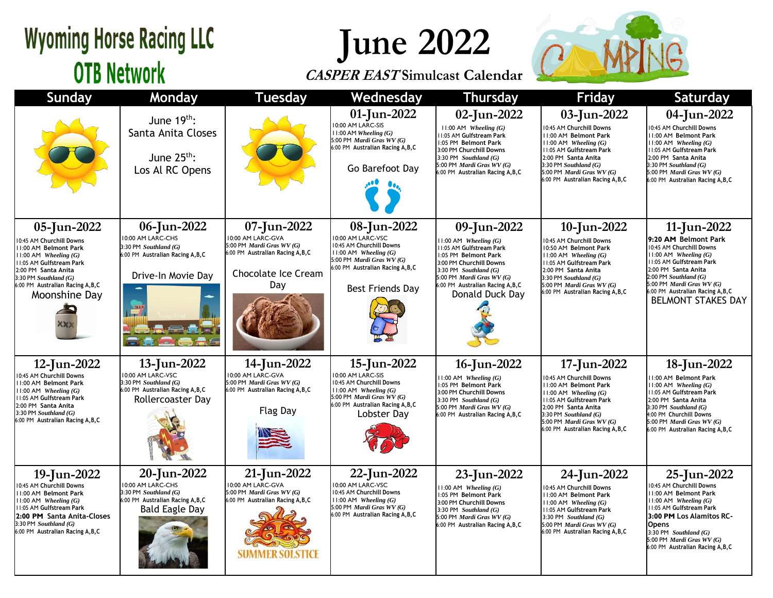### **Wyoming Horse Racing LLC OTB Network**

# **June 2022**

#### **CASPER EAST Simulcast Calendar**



| Sunday                                                                                                                                                                                                                                     | Monday                                                                                                                  | <b>Tuesday</b>                                                                                                                   | Wednesday                                                                                                                                                                       | <b>Thursday</b>                                                                                                                                                                                                                         | Friday                                                                                                                                                                                                                                               | Saturday                                                                                                                                                                                                                                                                |
|--------------------------------------------------------------------------------------------------------------------------------------------------------------------------------------------------------------------------------------------|-------------------------------------------------------------------------------------------------------------------------|----------------------------------------------------------------------------------------------------------------------------------|---------------------------------------------------------------------------------------------------------------------------------------------------------------------------------|-----------------------------------------------------------------------------------------------------------------------------------------------------------------------------------------------------------------------------------------|------------------------------------------------------------------------------------------------------------------------------------------------------------------------------------------------------------------------------------------------------|-------------------------------------------------------------------------------------------------------------------------------------------------------------------------------------------------------------------------------------------------------------------------|
|                                                                                                                                                                                                                                            | June $19th$ :<br>Santa Anita Closes<br>June $25^{th}$ :<br>Los Al RC Opens                                              |                                                                                                                                  | 01-Jun-2022<br>10:00 AM LARC-SIS<br>$11:00$ AM Wheeling $(G)$<br>5:00 PM Mardi Gras WV (G)<br>6:00 PM Australian Racing A, B, C<br>Go Barefoot Day                              | 02-Jun-2022<br>$11:00$ AM Wheeling $(G)$<br>11:05 AM Gulfstream Park<br>1:05 PM Belmont Park<br>3:00 PM Churchill Downs<br>3:30 PM Southland $(G)$<br>5:00 PM Mardi Gras WV (G)<br>6:00 PM Australian Racing A, B, C                    | 03-Jun-2022<br>10:45 AM Churchill Downs<br><b>11:00 AM Belmont Park</b><br>$11:00$ AM Wheeling $(G)$<br>11:05 AM Gulfstream Park<br>2:00 PM Santa Anita<br>3:30 PM Southland $(G)$<br>5:00 PM Mardi Gras WV (G)<br>6:00 PM Australian Racing A, B, C | 04-Jun-2022<br>0:45 AM Churchill Downs<br>11:00 AM Belmont Park<br>$11:00$ AM Wheeling $(G)$<br>11:05 AM Gulfstream Park<br>2:00 PM Santa Anita<br>$3:30$ PM Southland $(G)$<br>5:00 PM Mardi Gras WV (G)<br>6:00 PM Australian Racing A, B, C                          |
| 05-Jun-2022<br>10:45 AM Churchill Downs<br>11:00 AM Belmont Park<br>$11:00$ AM Wheeling $(G)$<br><b>11:05 AM Gulfstream Park</b><br>2:00 PM Santa Anita<br>$3:30$ PM Southland $(G)$<br>6:00 PM Australian Racing A, B, C<br>Moonshine Day | 06-Jun-2022<br>10:00 AM LARC-CHS<br>3:30 PM Southland (G)<br>6:00 PM Australian Racing A, B, C<br>Drive-In Movie Day    | 07-Jun-2022<br>10:00 AM LARC-GVA<br>5:00 PM Mardi Gras WV (G)<br>6:00 PM Australian Racing A, B, C<br>Chocolate Ice Cream<br>Day | 08-Jun-2022<br>10:00 AM LARC-VSC<br>10:45 AM Churchill Downs<br>$11:00$ AM Wheeling $(G)$<br>5:00 PM Mardi Gras WV (G)<br>6:00 PM Australian Racing A, B, C<br>Best Friends Day | 09-Jun-2022<br>$11:00$ AM Wheeling $(G)$<br>11:05 AM Gulfstream Park<br>1:05 PM Belmont Park<br>3:00 PM Churchill Downs<br>3:30 PM Southland $(G)$<br>5:00 PM Mardi Gras WV (G)<br>6:00 PM Australian Racing A, B, C<br>Donald Duck Day | 10-Jun-2022<br>10:45 AM Churchill Downs<br>10:50 AM Belmont Park<br>$11:00$ AM Wheeling $(G)$<br>11:05 AM Gulfstream Park<br>2:00 PM Santa Anita<br>3:30 PM Southland (G)<br>5:00 PM Mardi Gras WV (G)<br>6:00 PM Australian Racing A, B, C          | 11-Jun-2022<br>9:20 AM Belmont Park<br>10:45 AM Churchill Downs<br>11:00 AM Wheeling (G)<br>11:05 AM Gulfstream Park<br>2:00 PM Santa Anita<br>$2:00$ PM Southland $(G)$<br>5:00 PM Mardi Gras WV (G)<br>6:00 PM Australian Racing A, B, C<br><b>BELMONT STAKES DAY</b> |
| 12-Jun-2022<br>10:45 AM Churchill Downs<br>11:00 AM Belmont Park<br>$11:00$ AM Wheeling $(G)$<br><b>11:05 AM Gulfstream Park</b><br>2:00 PM Santa Anita<br>3:30 PM Southland $(G)$<br>6:00 PM Australian Racing A, B, C                    | 13-Jun-2022<br>10:00 AM LARC-VSC<br>3:30 PM Southland (G)<br>6:00 PM Australian Racing A, B, C<br>Rollercoaster Day     | 14-Jun-2022<br>10:00 AM LARC-GVA<br>5:00 PM Mardi Gras WV (G)<br>6:00 PM Australian Racing A, B, C<br><b>Flag Day</b>            | 15-Jun-2022<br>10:00 AM LARC-SIS<br>10:45 AM Churchill Downs<br>$11:00$ AM Wheeling $(G)$<br>5:00 PM Mardi Gras WV (G)<br>6:00 PM Australian Racing A, B, C<br>Lobster Dav      | 16-Jun-2022<br>$11:00$ AM Wheeling $(G)$<br>1:05 PM Belmont Park<br>3:00 PM Churchill Downs<br>3:30 PM Southland $(G)$<br>5:00 PM Mardi Gras WV (G)<br>6:00 PM Australian Racing A, B, C                                                | 17-Jun-2022<br>10:45 AM Churchill Downs<br><b>11:00 AM Belmont Park</b><br>$11:00$ AM Wheeling $(G)$<br>11:05 AM Gulfstream Park<br>2:00 PM Santa Anita<br>3:30 PM Southland (G)<br>5:00 PM Mardi Gras WV (G)<br>6:00 PM Australian Racing A, B, C   | 18-Jun-2022<br><b>II:00 AM Belmont Park</b><br>$11:00$ AM Wheeling $(G)$<br>11:05 AM Gulfstream Park<br>2:00 PM Santa Anita<br>3:30 PM Southland (G)<br>4:00 PM Churchill Downs<br>5:00 PM Mardi Gras WV (G)<br>6:00 PM Australian Racing A, B, C                       |
| 19-Jun-2022<br>10:45 AM Churchill Downs<br><b>11:00 AM Belmont Park</b><br>$11:00$ AM Wheeling $(G)$<br>11:05 AM Gulfstream Park<br>2:00 PM Santa Anita-Closes<br>3:30 PM Southland (G)<br>6:00 PM Australian Racing A,B,C                 | 20-Jun-2022<br>10:00 AM LARC-CHS<br>3:30 PM Southland (G)<br>6:00 PM Australian Racing A, B, C<br><b>Bald Eagle Day</b> | 21-Jun-2022<br>10:00 AM LARC-GVA<br>5:00 PM Mardi Gras WV (G)<br>6:00 PM Australian Racing A, B, C<br>SUMMER SOLSTICE            | 22-Jun-2022<br>10:00 AM LARC-VSC<br>10:45 AM Churchill Downs<br>$11:00$ AM Wheeling $(G)$<br>5:00 PM Mardi Gras WV (G)<br>6:00 PM Australian Racing A, B, C                     | 23-Jun-2022<br>$11:00$ AM Wheeling $(G)$<br>1:05 PM Belmont Park<br>3:00 PM Churchill Downs<br>3:30 PM Southland $(G)$<br>5:00 PM Mardi Gras WV (G)<br>6:00 PM Australian Racing A, B, C                                                | 24-Jun-2022<br>10:45 AM Churchill Downs<br>11:00 AM Belmont Park<br>$11:00$ AM Wheeling $(G)$<br>11:05 AM Gulfstream Park<br>3:30 PM Southland $(G)$<br>5:00 PM Mardi Gras WV (G)<br>6:00 PM Australian Racing A, B, C                               | 25-Jun-2022<br>0:45 AM Churchill Downs<br>11:00 AM Belmont Park<br>$11:00$ AM Wheeling $(G)$<br>11:05 AM Gulfstream Park<br>3:00 PM Los Alamitos RC-<br><b>Opens</b><br>3:30 PM Southland $(G)$<br>5:00 PM Mardi Gras WV (G)<br>6:00 PM Australian Racing A, B, C       |